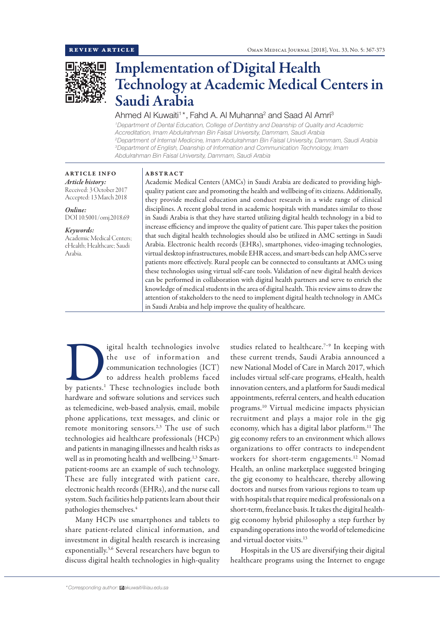

# Implementation of Digital Health Technology at Academic Medical Centers in Saudi Arabia

# Ahmed Al Kuwaiti<sup>1\*</sup>, Fahd A. Al Muhanna<sup>2</sup> and Saad Al Amri<sup>3</sup>

*1 Department of Dental Education, College of Dentistry and Deanship of Quality and Academic Accreditation, Imam Abdulrahman Bin Faisal University, Dammam, Saudi Arabia 2 Department of Internal Medicine, Imam Abdulrahman Bin Faisal University, Dammam, Saudi Arabia 3 Department of English, Deanship of Information and Communication Technology, Imam Abdulrahman Bin Faisal University, Dammam, Saudi Arabia*

# ARTICLE INFO *Article history:*

Received: 3 October 2017 Accepted: 13 March 2018

*Online:* DOI 10.5001/omj.2018.69

#### *Keywords:*

Academic Medical Centers; eHealth; Healthcare; Saudi Arabia.

#### ABSTRACT

Academic Medical Centers (AMCs) in Saudi Arabia are dedicated to providing highquality patient care and promoting the health and wellbeing of its citizens. Additionally, they provide medical education and conduct research in a wide range of clinical disciplines. A recent global trend in academic hospitals with mandates similar to those in Saudi Arabia is that they have started utilizing digital health technology in a bid to increase efficiency and improve the quality of patient care. This paper takes the position that such digital health technologies should also be utilized in AMC settings in Saudi Arabia. Electronic health records (EHRs), smartphones, video-imaging technologies, virtual desktop infrastructures, mobile EHR access, and smart-beds can help AMCs serve patients more effectively. Rural people can be connected to consultants at AMCs using these technologies using virtual self-care tools. Validation of new digital health devices can be performed in collaboration with digital health partners and serve to enrich the knowledge of medical students in the area of digital health. This review aims to draw the attention of stakeholders to the need to implement digital health technology in AMCs in Saudi Arabia and help improve the quality of healthcare.

Igital health technologies involve<br>
the use of information and<br>
communication technologies (ICT)<br>
to address health problems faced<br>
by patients.<sup>1</sup> These technologies include both the use of information and communication technologies (ICT) to address health problems faced hardware and software solutions and services such as telemedicine, web-based analysis, email, mobile phone applications, text messages, and clinic or remote monitoring sensors.<sup>2,3</sup> The use of such technologies aid healthcare professionals (HCPs) and patients in managing illnesses and health risks as well as in promoting health and wellbeing.<sup>1,3</sup> Smartpatient-rooms are an example of such technology. These are fully integrated with patient care, electronic health records (EHRs), and the nurse call system. Such facilities help patients learn about their pathologies themselves.4

Many HCPs use smartphones and tablets to share patient-related clinical information, and investment in digital health research is increasing exponentially.5,6 Several researchers have begun to discuss digital health technologies in high-quality

studies related to healthcare.<sup>7-9</sup> In keeping with these current trends, Saudi Arabia announced a new National Model of Care in March 2017, which includes virtual self-care programs, eHealth, health innovation centers, and a platform for Saudi medical appointments, referral centers, and health education programs.10 Virtual medicine impacts physician recruitment and plays a major role in the gig economy, which has a digital labor platform.<sup>11</sup> The gig economy refers to an environment which allows organizations to offer contracts to independent workers for short-term engagements.<sup>12</sup> Nomad Health, an online marketplace suggested bringing the gig economy to healthcare, thereby allowing doctors and nurses from various regions to team up with hospitals that require medical professionals on a short-term, freelance basis. It takes the digital healthgig economy hybrid philosophy a step further by expanding operations into the world of telemedicine and virtual doctor visits.13

Hospitals in the US are diversifying their digital healthcare programs using the Internet to engage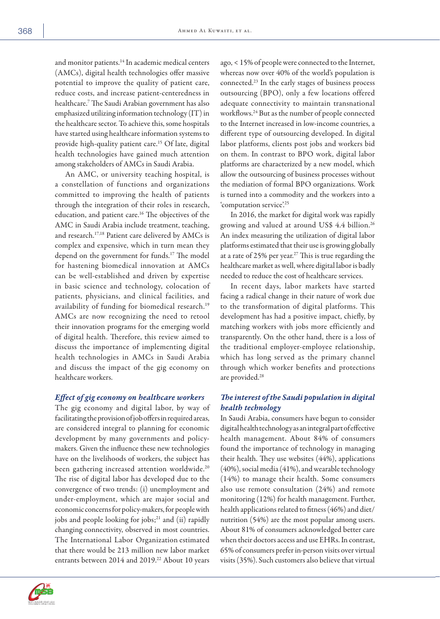and monitor patients.<sup>14</sup> In academic medical centers (AMCs), digital health technologies offer massive potential to improve the quality of patient care, reduce costs, and increase patient-centeredness in healthcare.7 The Saudi Arabian government has also emphasized utilizing information technology (IT) in the healthcare sector. To achieve this, some hospitals have started using healthcare information systems to provide high-quality patient care.<sup>15</sup> Of late, digital health technologies have gained much attention among stakeholders of AMCs in Saudi Arabia.

An AMC, or university teaching hospital, is a constellation of functions and organizations committed to improving the health of patients through the integration of their roles in research, education, and patient care.<sup>16</sup> The objectives of the AMC in Saudi Arabia include treatment, teaching, and research.17,18 Patient care delivered by AMCs is complex and expensive, which in turn mean they depend on the government for funds.17 The model for hastening biomedical innovation at AMCs can be well-established and driven by expertise in basic science and technology, colocation of patients, physicians, and clinical facilities, and availability of funding for biomedical research.19 AMCs are now recognizing the need to retool their innovation programs for the emerging world of digital health. Therefore, this review aimed to discuss the importance of implementing digital health technologies in AMCs in Saudi Arabia and discuss the impact of the gig economy on healthcare workers.

#### *Effect of gig economy on healthcare workers*

The gig economy and digital labor, by way of facilitating the provision of job offers in required areas, are considered integral to planning for economic development by many governments and policymakers. Given the influence these new technologies have on the livelihoods of workers, the subject has been gathering increased attention worldwide.<sup>20</sup> The rise of digital labor has developed due to the convergence of two trends: (i) unemployment and under-employment, which are major social and economic concerns for policy-makers, for people with jobs and people looking for jobs; $21$  and (ii) rapidly changing connectivity, observed in most countries. The International Labor Organization estimated that there would be 213 million new labor market entrants between 2014 and 2019.<sup>22</sup> About 10 years



In 2016, the market for digital work was rapidly growing and valued at around US\$ 4.4 billion.26 An index measuring the utilization of digital labor platforms estimated that their use is growing globally at a rate of 25% per year.<sup>27</sup> This is true regarding the healthcare market as well, where digital labor is badly needed to reduce the cost of healthcare services.

In recent days, labor markets have started facing a radical change in their nature of work due to the transformation of digital platforms. This development has had a positive impact, chiefly, by matching workers with jobs more efficiently and transparently. On the other hand, there is a loss of the traditional employer-employee relationship, which has long served as the primary channel through which worker benefits and protections are provided.<sup>28</sup>

## *The interest of the Saudi population in digital health technology*

In Saudi Arabia, consumers have begun to consider digital health technology as an integral part of effective health management. About 84% of consumers found the importance of technology in managing their health. They use websites (44%), applications (40%), social media (41%), and wearable technology (14%) to manage their health. Some consumers also use remote consultation (24%) and remote monitoring (12%) for health management. Further, health applications related to fitness (46%) and diet/ nutrition (54%) are the most popular among users. About 81% of consumers acknowledged better care when their doctors access and use EHRs. In contrast, 65% of consumers prefer in-person visits over virtual visits (35%). Such customers also believe that virtual

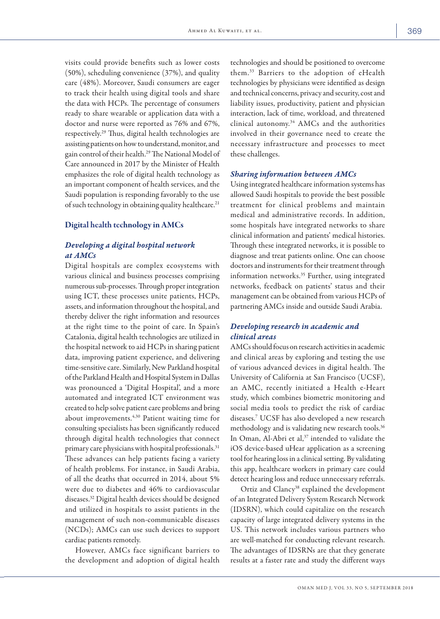visits could provide benefits such as lower costs (50%), scheduling convenience (37%), and quality care (48%). Moreover, Saudi consumers are eager to track their health using digital tools and share the data with HCPs. The percentage of consumers ready to share wearable or application data with a doctor and nurse were reported as 76% and 67%, respectively.29 Thus, digital health technologies are assisting patients on how to understand, monitor, and gain control of their health.29 The National Model of Care announced in 2017 by the Minister of Health emphasizes the role of digital health technology as an important component of health services, and the Saudi population is responding favorably to the use of such technology in obtaining quality healthcare.<sup>21</sup>

## Digital health technology in AMCs

# *Developing a digital hospital network at AMCs*

Digital hospitals are complex ecosystems with various clinical and business processes comprising numerous sub-processes. Through proper integration using ICT, these processes unite patients, HCPs, assets, and information throughout the hospital, and thereby deliver the right information and resources at the right time to the point of care. In Spain's Catalonia, digital health technologies are utilized in the hospital network to aid HCPs in sharing patient data, improving patient experience, and delivering time-sensitive care. Similarly, New Parkland hospital of the Parkland Health and Hospital System in Dallas was pronounced a 'Digital Hospital', and a more automated and integrated ICT environment was created to help solve patient care problems and bring about improvements.4,30 Patient waiting time for consulting specialists has been significantly reduced through digital health technologies that connect primary care physicians with hospital professionals.31 These advances can help patients facing a variety of health problems. For instance, in Saudi Arabia, of all the deaths that occurred in 2014, about 5% were due to diabetes and 46% to cardiovascular diseases.32 Digital health devices should be designed and utilized in hospitals to assist patients in the management of such non-communicable diseases (NCDs); AMCs can use such devices to support cardiac patients remotely.

However, AMCs face significant barriers to the development and adoption of digital health technologies and should be positioned to overcome them.33 Barriers to the adoption of eHealth technologies by physicians were identified as design and technical concerns, privacy and security, cost and liability issues, productivity, patient and physician interaction, lack of time, workload, and threatened clinical autonomy.<sup>34</sup> AMCs and the authorities involved in their governance need to create the necessary infrastructure and processes to meet these challenges.

#### *Sharing information between AMCs*

Using integrated healthcare information systems has allowed Saudi hospitals to provide the best possible treatment for clinical problems and maintain medical and administrative records. In addition, some hospitals have integrated networks to share clinical information and patients' medical histories. Through these integrated networks, it is possible to diagnose and treat patients online. One can choose doctors and instruments for their treatment through information networks.<sup>35</sup> Further, using integrated networks, feedback on patients' status and their management can be obtained from various HCPs of partnering AMCs inside and outside Saudi Arabia.

## *Developing research in academic and clinical areas*

AMCs should focus on research activities in academic and clinical areas by exploring and testing the use of various advanced devices in digital health. The University of California at San Francisco (UCSF), an AMC, recently initiated a Health e-Heart study, which combines biometric monitoring and social media tools to predict the risk of cardiac diseases.7 UCSF has also developed a new research methodology and is validating new research tools.<sup>36</sup> In Oman, Al-Abri et al,<sup>37</sup> intended to validate the iOS device-based uHear application as a screening tool for hearing loss in a clinical setting. By validating this app, healthcare workers in primary care could detect hearing loss and reduce unnecessary referrals.

Ortiz and Clancy<sup>38</sup> explained the development of an Integrated Delivery System Research Network (IDSRN), which could capitalize on the research capacity of large integrated delivery systems in the US. This network includes various partners who are well-matched for conducting relevant research. The advantages of IDSRNs are that they generate results at a faster rate and study the different ways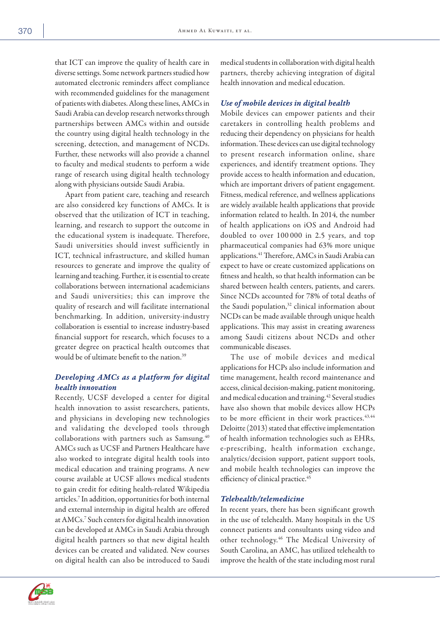that ICT can improve the quality of health care in diverse settings. Some network partners studied how automated electronic reminders affect compliance with recommended guidelines for the management of patients with diabetes. Along these lines, AMCs in Saudi Arabia can develop research networks through partnerships between AMCs within and outside the country using digital health technology in the screening, detection, and management of NCDs. Further, these networks will also provide a channel to faculty and medical students to perform a wide range of research using digital health technology along with physicians outside Saudi Arabia.

Apart from patient care, teaching and research are also considered key functions of AMCs. It is observed that the utilization of ICT in teaching, learning, and research to support the outcome in the educational system is inadequate. Therefore, Saudi universities should invest sufficiently in ICT, technical infrastructure, and skilled human resources to generate and improve the quality of learning and teaching. Further, it is essential to create collaborations between international academicians and Saudi universities; this can improve the quality of research and will facilitate international benchmarking. In addition, university-industry collaboration is essential to increase industry-based financial support for research, which focuses to a greater degree on practical health outcomes that would be of ultimate benefit to the nation.39

# *Developing AMCs as a platform for digital health innovation*

Recently, UCSF developed a center for digital health innovation to assist researchers, patients, and physicians in developing new technologies and validating the developed tools through collaborations with partners such as Samsung.<sup>40</sup> AMCs such as UCSF and Partners Healthcare have also worked to integrate digital health tools into medical education and training programs. A new course available at UCSF allows medical students to gain credit for editing health-related Wikipedia articles.7 In addition, opportunities for both internal and external internship in digital health are offered at AMCs.7 Such centers for digital health innovation can be developed at AMCs in Saudi Arabia through digital health partners so that new digital health devices can be created and validated. New courses on digital health can also be introduced to Saudi

medical students in collaboration with digital health partners, thereby achieving integration of digital health innovation and medical education.

#### *Use of mobile devices in digital health*

Mobile devices can empower patients and their caretakers in controlling health problems and reducing their dependency on physicians for health information. These devices can use digital technology to present research information online, share experiences, and identify treatment options. They provide access to health information and education, which are important drivers of patient engagement. Fitness, medical reference, and wellness applications are widely available health applications that provide information related to health. In 2014, the number of health applications on iOS and Android had doubled to over 100 000 in 2.5 years, and top pharmaceutical companies had 63% more unique applications.41 Therefore, AMCs in Saudi Arabia can expect to have or create customized applications on fitness and health, so that health information can be shared between health centers, patients, and carers. Since NCDs accounted for 78% of total deaths of the Saudi population,<sup>32</sup> clinical information about NCDs can be made available through unique health applications. This may assist in creating awareness among Saudi citizens about NCDs and other communicable diseases.

The use of mobile devices and medical applications for HCPs also include information and time management, health record maintenance and access, clinical decision-making, patient monitoring, and medical education and training.<sup>42</sup> Several studies have also shown that mobile devices allow HCPs to be more efficient in their work practices.<sup>43,44</sup> Deloitte (2013) stated that effective implementation of health information technologies such as EHRs, e-prescribing, health information exchange, analytics/decision support, patient support tools, and mobile health technologies can improve the efficiency of clinical practice.<sup>45</sup>

### *Telehealth/telemedicine*

In recent years, there has been significant growth in the use of telehealth. Many hospitals in the US connect patients and consultants using video and other technology.46 The Medical University of South Carolina, an AMC, has utilized telehealth to improve the health of the state including most rural

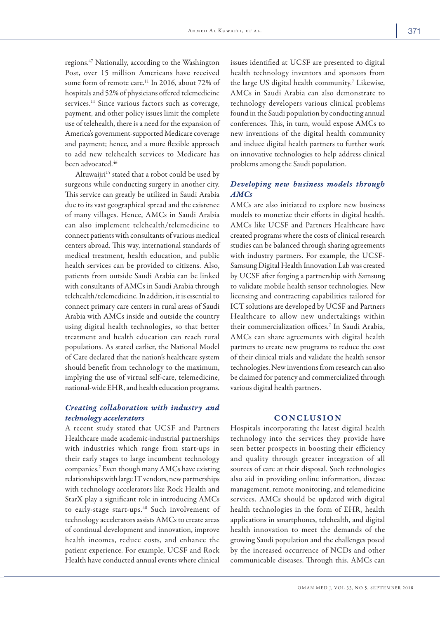regions.47 Nationally, according to the Washington Post, over 15 million Americans have received some form of remote care.<sup>11</sup> In 2016, about 72% of hospitals and 52% of physicians offered telemedicine services.<sup>11</sup> Since various factors such as coverage, payment, and other policy issues limit the complete use of telehealth, there is a need for the expansion of America's government-supported Medicare coverage and payment; hence, and a more flexible approach to add new telehealth services to Medicare has been advocated.46

Altuwaijri<sup>15</sup> stated that a robot could be used by surgeons while conducting surgery in another city. This service can greatly be utilized in Saudi Arabia due to its vast geographical spread and the existence of many villages. Hence, AMCs in Saudi Arabia can also implement telehealth/telemedicine to connect patients with consultants of various medical centers abroad. This way, international standards of medical treatment, health education, and public health services can be provided to citizens. Also, patients from outside Saudi Arabia can be linked with consultants of AMCs in Saudi Arabia through telehealth/telemedicine. In addition, it is essential to connect primary care centers in rural areas of Saudi Arabia with AMCs inside and outside the country using digital health technologies, so that better treatment and health education can reach rural populations. As stated earlier, the National Model of Care declared that the nation's healthcare system should benefit from technology to the maximum, implying the use of virtual self-care, telemedicine, national-wide EHR, and health education programs.

## *Creating collaboration with industry and technology accelerators*

A recent study stated that UCSF and Partners Healthcare made academic-industrial partnerships with industries which range from start-ups in their early stages to large incumbent technology companies.7 Even though many AMCs have existing relationships with large IT vendors, new partnerships with technology accelerators like Rock Health and StarX play a significant role in introducing AMCs to early-stage start-ups.<sup>48</sup> Such involvement of technology accelerators assists AMCs to create areas of continual development and innovation, improve health incomes, reduce costs, and enhance the patient experience. For example, UCSF and Rock Health have conducted annual events where clinical

issues identified at UCSF are presented to digital health technology inventors and sponsors from the large US digital health community.<sup>7</sup> Likewise, AMCs in Saudi Arabia can also demonstrate to technology developers various clinical problems found in the Saudi population by conducting annual conferences. This, in turn, would expose AMCs to new inventions of the digital health community and induce digital health partners to further work on innovative technologies to help address clinical problems among the Saudi population.

## *Developing new business models through AMCs*

AMCs are also initiated to explore new business models to monetize their efforts in digital health. AMCs like UCSF and Partners Healthcare have created programs where the costs of clinical research studies can be balanced through sharing agreements with industry partners. For example, the UCSF-Samsung Digital Health Innovation Lab was created by UCSF after forging a partnership with Samsung to validate mobile health sensor technologies. New licensing and contracting capabilities tailored for ICT solutions are developed by UCSF and Partners Healthcare to allow new undertakings within their commercialization offices.7 In Saudi Arabia, AMCs can share agreements with digital health partners to create new programs to reduce the cost of their clinical trials and validate the health sensor technologies. New inventions from research can also be claimed for patency and commercialized through various digital health partners.

### **CONCLUSION**

Hospitals incorporating the latest digital health technology into the services they provide have seen better prospects in boosting their efficiency and quality through greater integration of all sources of care at their disposal. Such technologies also aid in providing online information, disease management, remote monitoring, and telemedicine services. AMCs should be updated with digital health technologies in the form of EHR, health applications in smartphones, telehealth, and digital health innovation to meet the demands of the growing Saudi population and the challenges posed by the increased occurrence of NCDs and other communicable diseases. Through this, AMCs can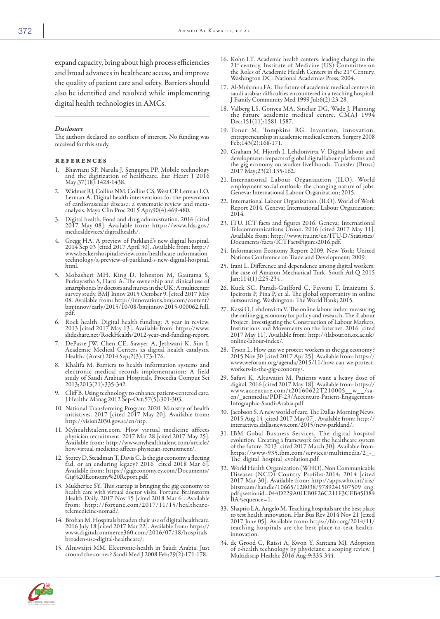expand capacity, bring about high process efficiencies and broad advances in healthcare access, and improve the quality of patient care and safety. Barriers should also be identified and resolved while implementing digital health technologies in AMCs.

#### *Disclosure*

The authors declared no conflicts of interest. No funding was received for this study.

#### references

- 1. Bhavnani SP, Narula J, Sengupta PP. Mobile technology and the digitization of healthcare. Eur Heart J 2016 May;37(18):1428-1438.
- 2. Widmer RJ, Collins NM, Collins CS, West CP, Lerman LO, Lerman A. Digital health interventions for the prevention of cardiovascular disease: a systematic review and metaanalysis. Mayo Clin Proc 2015 Apr;90(4):469-480.
- 3. Digital health. Food and drug administration. 2016 [cited 2017 May 08]. Available from: https://www.fda.gov/ medicaldevices/digitalhealth/.
- 4. Gregg HA. A preview of Parkland's new digital hospital. 2014 Sep 03 [cited 2017 April 30]. Available from: http:// www.beckershospitalreview.com/healthcare-informationtechnology/a-preview-of-parkland-s-new-digital-hospital. html.
- 5. Mobasheri MH, King D, Johnston M, Gautama S, Purkayastha S, Darzi A. The ownership and clinical use of smartphones by doctors and nurses in the UK: A multicenter survey study. BMJ Innov 2015 October 9. [cited 2017 May 08. Available from: http://innovations.bmj.com/content/ bmjinnov/early/2015/10/08/bmjinnov-2015-000062.full. pdf.
- 6. Rock health. Digital health funding: A year in review. 2013 [cited 2017 May 13]. Available from: https://www. slideshare.net/RockHealth/2012-year-end-funding-report.
- 7. DePasse JW, Chen CE, Sawyer A, Jethwani K, Sim I. Academic Medical Centers as digital health catalysts. Healthc (Amst) 2014 Sep;2(3):173-176.
- 8. Khalifa M. Barriers to health information systems and electronic medical records implementation: A field study of Saudi Arabian Hospitals. Procedia Comput Sci 2013;2013(21):335-342.
- 9. Cliff B. Using technology to enhance patient-centered care. J Healthc Manag 2012 Sep-Oct;57(5):301-303.
- 10. National Transforming Program 2020. Ministry of health initiatives. 2017 [cited 2017 May 20]. Available from: http://vision2030.gov.sa/en/ntp.
- 11. Myhealthtalent.com. How virtual medicine affects physician recruitment. 2017 Mar 28 [cited 2017 May 25]. Available from: http://www.myhealthtalent.com/article/ how-virtual-medicine-affects-physician-recruitment/.
- 12. Storey D, Steadman T, Davis C. Is the gig economy a fleeting fad, or an enduring legacy? 2016 [cited 2018 Mar 6]. Available from: https://gigeconomy.ey.com/Documents/ Gig%20Economy%20Report.pdf.
- 13. Mukherjee SY. This startup is bringing the gig economy to health care with virtual doctor visits. Fortune Brainstorm Health Daily. 2017 Nov 15 [cited 2018 Mar 6]. Available from: http://fortune.com/2017/11/15/healthcaretelemedicine-nomad/.
- 14. Brohan M. Hospitals broaden their use of digital healthcare. 2016 July 18 [cited 2017 Mar 22]. Available from: https:// www.digitalcommerce360.com/2016/07/18/hospitalsbroaden-use-digital-healthcare/.
- 15. Altuwaijri MM. Electronic-health in Saudi Arabia. Just around the corner? Saudi Med J 2008 Feb;29(2):171-178.
- 16. Kohn LT. Academic health centers: leading change in the 21st century. Institute of Medicine (US) Committee on the Roles of Academic Health Centers in the 21<sup>st</sup> Century. Washington DC: National Academies Press; 2004.
- 17. Al-Muhanna FA. The future of academic medical centers in saudi arabia: difficulties encountered in a teaching hospital. J Family Community Med 1999 Jul;6(2):23-28.
- 18. Valberg LS, Gonyea MA, Sinclair DG, Wade J. Planning the future academic medical centre. CMAJ 1994 Dec;151(11):1581-1587.
- 19. Toner M, Tompkins RG. Invention, innovation, entrepreneurship in academic medical centers. Surgery 2008 Feb;143(2):168-171.
- 20. Graham M, Hjorth I, Lehdonvirta V. Digital labour and development: impacts of global digital labour platforms and the gig economy on worker livelihoods. Transfer (Bruss) 2017 May;23(2):135-162.
- 21. International Labour Organization (ILO). World employment social outlook: the changing nature of jobs. Geneva: International Labour Organization; 2015.
- 22. International Labour Organization. (ILO). World of Work Report 2014. Geneva: International Labour Organization; 2014.
- 23. ITU. ICT facts and figures 2016. Geneva: International Telecommunications Union. 2016 [cited 2017 May 11]. Available from: http://www.itu.int/en/ITU-D/Statistics/ Documents/facts/ICTFactsFigures2016.pdf.
- 24. Information Economy Report 2009. New York: United Nations Conference on Trade and Development; 2009.
- 25. Irani L. Difference and dependence among digital workers: the case of Amazon Mechanical Turk. South Atl Q 2015 Jan;114(1):225-234.
- 26. Kuek SC, Paradi-Guilford C, Fayomi T, Imaizumi S, Ipeirotis P, Pina P, et al. The global opportunity in online outsourcing. Washington: The World Bank; 2015.
- 27. Kassi O, Lehdonvirta V. The online labour index: measuring the online gig economy for policy and research. The iLabour Project: Investigating the Construction of Labour Markets, Institutions and Movements on the Internet. 2016 [cited 2017 May 11]. Available from: http://ilabour.oii.ox.ac.uk/ online-labour-index/.
- 28. Tyson L. How can we protect workers in the gig economy? 2015 Nov 30 [cited 2017 Apr 25]. Available from: https:// www.weforum.org/agenda/2015/11/how-can-we-protectworkers-in-the-gig-economy/.
- 29. Safavi K, Altuwaijri M. Patients want a heavy dose of digital. 2016 [cited 2017 May 18]. Available from: https:// www.accenture.com/t20160622T210005\_\_w\_\_/saen/\_acnmedia/PDF-23/Accenture-Patient-Engagement-Infographic-Saudi-Arabia.pdf.
- 30. Jacobson S. A new world of care. The Dallas Morning News. 2015 Aug 14 [cited 2017 May 07]. Available from: http:// interactives.dallasnews.com/2015/new-parkland/.
- 31. IBM Gobal Business Services. The digital hospital evolution: Creating a framework for the healthcare system of the future. 2013 [cited 2017 March 30]. Available from: https://www-935.ibm.com/services/multimedia/2\_-\_ The digital hospital evolution.pdf.
- 32. World Health Organization (WHO). Non Communicable Diseases (NCD) Country Profiles-2014; 2014 [cited 2017 Mar 30]. Available from: http://apps.who.int/iris/ bitstream/handle/10665/128038/9789241507509\_eng. pdf;jsessionid=044D229A01EB0F26C211F3CEB45D84 BA?sequence=1.
- 33. Shaprio LA, Angelo M. Teaching hospitals are the best place to test health innovation. Har Bus Rev 2014 Nov 21 [cited 2017 June 05]. Available from: https://hbr.org/2014/11/ teaching-hospitals-are-the-best-place-to-test-healthinnovation.
- 34. de Grood C, Raissi A, Kwon Y, Santana MJ. Adoption of e-health technology by physicians: a scoping review. J Multidiscip Healthc 2016 Aug;9:335-344.